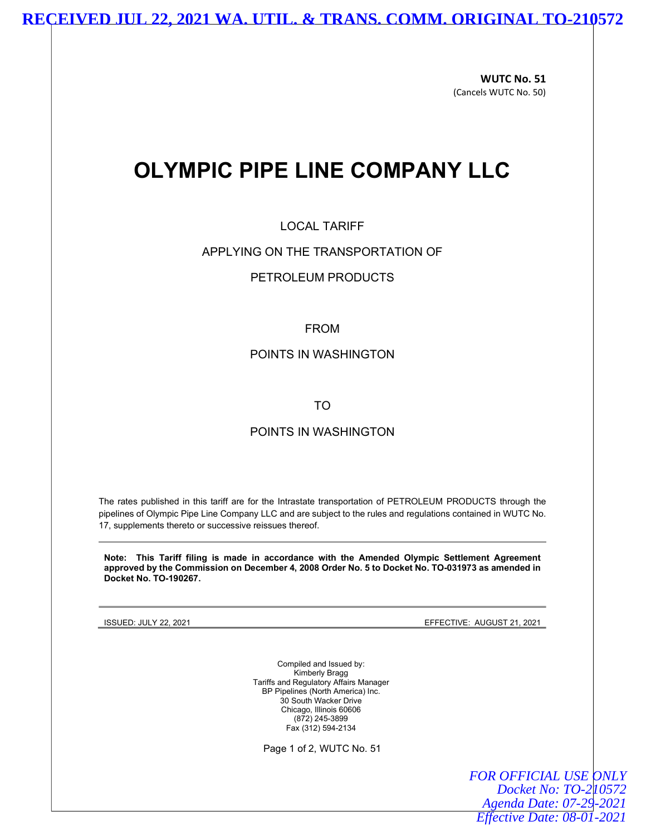### **RECEIVED JUL 22, 2021 WA. UTIL. & TRANS. COMM. ORIGINAL TO-210572**

WUTC No. 51 (Cancels WUTC No. 50)

# OLYMPIC PIPE LINE COMPANY LLC

#### LOCAL TARIFF

#### APPLYING ON THE TRANSPORTATION OF

#### PETROLEUM PRODUCTS

#### FROM

#### POINTS IN WASHINGTON

TO

#### POINTS IN WASHINGTON

The rates published in this tariff are for the Intrastate transportation of PETROLEUM PRODUCTS through the pipelines of Olympic Pipe Line Company LLC and are subject to the rules and regulations contained in WUTC No. 17, supplements thereto or successive reissues thereof.

Note: This Tariff filing is made in accordance with the Amended Olympic Settlement Agreement approved by the Commission on December 4, 2008 Order No. 5 to Docket No. TO-031973 as amended in Docket No. TO-190267.

ISSUED: JULY 22, 2021 EFFECTIVE: AUGUST 21, 2021

Compiled and Issued by: Kimberly Bragg Tariffs and Regulatory Affairs Manager BP Pipelines (North America) Inc. 30 South Wacker Drive Chicago, Illinois 60606 (872) 245-3899 Fax (312) 594-2134

Page 1 of 2, WUTC No. 51

*FOR OFFICIAL USE ONLY Docket No: TO-210572 Agenda Date: 07-29-2021 Effective Date: 08-01-2021*